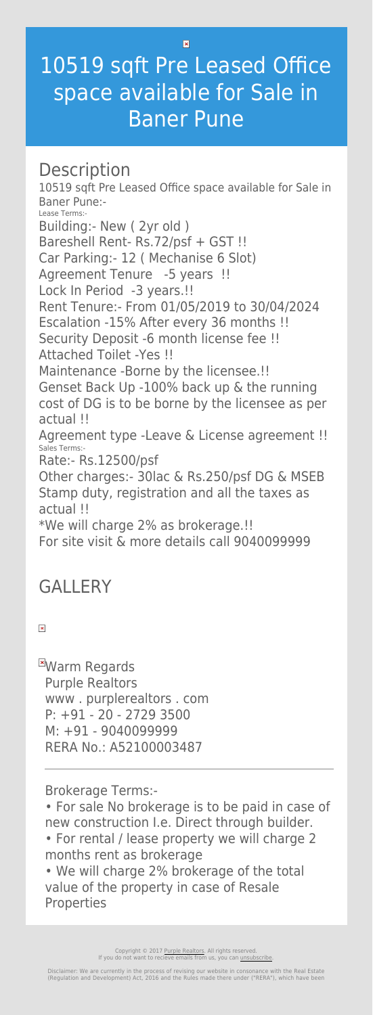$\vert \mathbf{x} \vert$ 

## 10519 sqft Pre Leased Office space available for Sale in Baner Pune

## **Description**

10519 sqft Pre Leased Office space available for Sale in Baner Pune:- Lease Terms:- Building:- New ( 2yr old ) Bareshell Rent- Rs.72/psf + GST !! Car Parking:- 12 ( Mechanise 6 Slot) Agreement Tenure -5 years !! Lock In Period -3 years.!! Rent Tenure:- From 01/05/2019 to 30/04/2024 Escalation -15% After every 36 months !! Security Deposit -6 month license fee !! Attached Toilet -Yes !! Maintenance -Borne by the licensee.!! Genset Back Up -100% back up & the running cost of DG is to be borne by the licensee as per actual !! Agreement type -Leave & License agreement !! Sales Terms:- Rate:- Rs.12500/psf Other charges:- 30lac & Rs.250/psf DG & MSEB Stamp duty, registration and all the taxes as actual !! \*We will charge 2% as brokerage.!!

**EWarm Regards** Purple Realtors www . purplerealtors . com P: +91 - 20 - 2729 3500 M: +91 - 9040099999 RERA No.: A52100003487

For site visit & more details call 9040099999

## **GALLERY**

 $\pmb{\times}$ 

Brokerage Terms:-

• For sale No brokerage is to be paid in case of new construction I.e. Direct through builder.

• For rental / lease property we will charge 2 months rent as brokerage

• We will charge 2% brokerage of the total value of the property in case of Resale Properties

> Copyright © 2017 [Purple Realtors](https://purplerealtors.in/). All rights reserved. If you do not want to recieve emails from us, you can [unsubscribe.](#page--1-0)

Disclaimer: We are currently in the process of revising our website in consonance with the Real Estate (Regulation and Development) Act, 2016 and the Rules made there under ("RERA"), which have been